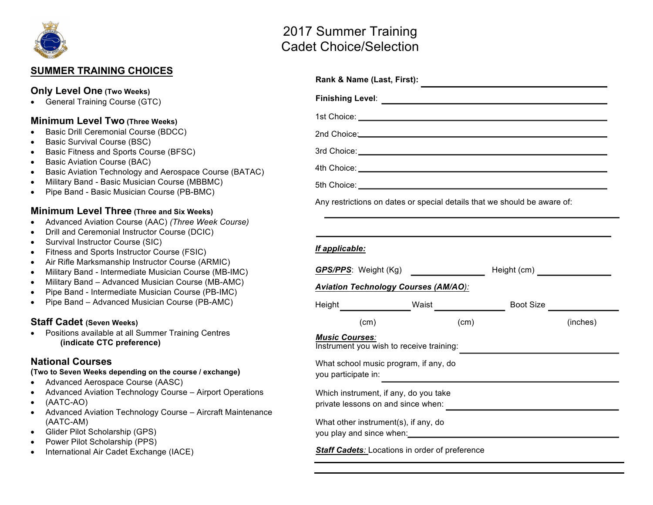

## **SUMMER TRAINING CHOICES**

### **Only Level One (Two Weeks)**

• General Training Course (GTC)

#### **Minimum Level Two (Three Weeks)**

- Basic Drill Ceremonial Course (BDCC)
- Basic Survival Course (BSC)
- Basic Fitness and Sports Course (BFSC)
- Basic Aviation Course (BAC)
- Basic Aviation Technology and Aerospace Course (BATAC)
- Military Band Basic Musician Course (MBBMC)
- Pipe Band Basic Musician Course (PB-BMC)

### **Minimum Level Three (Three and Six Weeks)**

- Advanced Aviation Course (AAC) *(Three Week Course)*
- Drill and Ceremonial Instructor Course (DCIC)
- Survival Instructor Course (SIC)
- Fitness and Sports Instructor Course (FSIC)
- Air Rifle Marksmanship Instructor Course (ARMIC)
- Military Band Intermediate Musician Course (MB-IMC)
- Military Band Advanced Musician Course (MB-AMC)
- Pipe Band Intermediate Musician Course (PB-IMC)
- Pipe Band Advanced Musician Course (PB-AMC)

## **Staff Cadet (Seven Weeks)**

• Positions available at all Summer Training Centres **(indicate CTC preference)**

## **National Courses**

**(Two to Seven Weeks depending on the course / exchange)**

- Advanced Aerospace Course (AASC)
- Advanced Aviation Technology Course Airport Operations
- (AATC-AO)
- Advanced Aviation Technology Course Aircraft Maintenance (AATC-AM)
- Glider Pilot Scholarship (GPS)
- Power Pilot Scholarship (PPS)
- International Air Cadet Exchange (IACE)

# 2017 Summer Training Cadet Choice/Selection

| Rank & Name (Last, First):                                                                                     |  |      |                               |                                                                         |
|----------------------------------------------------------------------------------------------------------------|--|------|-------------------------------|-------------------------------------------------------------------------|
|                                                                                                                |  |      |                               |                                                                         |
| 1st Choice: <u>New York: William State Choice:</u>                                                             |  |      |                               |                                                                         |
| 2nd Choice: 2008 Choice: 2008 Choice: 2008 Choice: 2008 Choice: 2008 Choice: 2008 Choice: 2008 Choice: 2008 Ch |  |      |                               |                                                                         |
|                                                                                                                |  |      |                               |                                                                         |
|                                                                                                                |  |      |                               |                                                                         |
|                                                                                                                |  |      |                               |                                                                         |
| Any restrictions on dates or special details that we should be aware of:                                       |  |      |                               |                                                                         |
|                                                                                                                |  |      |                               |                                                                         |
| If applicable:                                                                                                 |  |      |                               |                                                                         |
| <u>GPS/PPS</u> : Weight (Kg) _______________                                                                   |  |      | Height (cm) _________________ |                                                                         |
| <b>Aviation Technology Courses (AM/AO):</b>                                                                    |  |      |                               |                                                                         |
|                                                                                                                |  |      |                               | Boot Size <b>Size Size Size Size Size Size Size Size Size Size Size</b> |
| (cm)                                                                                                           |  | (cm) |                               | (inches)                                                                |
| <b>Music Courses:</b><br>Instrument you wish to receive training:                                              |  |      |                               |                                                                         |
| What school music program, if any, do<br>you participate in:                                                   |  |      |                               |                                                                         |
| Which instrument, if any, do you take<br>private lessons on and since when:                                    |  |      |                               |                                                                         |
| What other instrument(s), if any, do<br>you play and since when:<br><u> vou play and since when:</u>           |  |      |                               |                                                                         |
| Staff Cadets: Locations in order of preference                                                                 |  |      |                               |                                                                         |